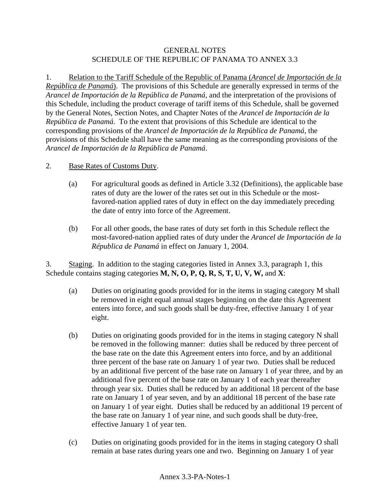## GENERAL NOTES SCHEDULE OF THE REPUBLIC OF PANAMA TO ANNEX 3.3

1. Relation to the Tariff Schedule of the Republic of Panama (*Arancel de Importación de la República de Panamá*). The provisions of this Schedule are generally expressed in terms of the *Arancel de Importación de la República de Panamá*, and the interpretation of the provisions of this Schedule, including the product coverage of tariff items of this Schedule, shall be governed by the General Notes, Section Notes, and Chapter Notes of the *Arancel de Importación de la República de Panamá*. To the extent that provisions of this Schedule are identical to the corresponding provisions of the *Arancel de Importación de la República de Panamá*, the provisions of this Schedule shall have the same meaning as the corresponding provisions of the *Arancel de Importación de la República de Panamá*.

## 2. Base Rates of Customs Duty.

- (a) For agricultural goods as defined in Article 3.32 (Definitions), the applicable base rates of duty are the lower of the rates set out in this Schedule or the mostfavored-nation applied rates of duty in effect on the day immediately preceding the date of entry into force of the Agreement.
- (b) For all other goods, the base rates of duty set forth in this Schedule reflect the most-favored-nation applied rates of duty under the *Arancel de Importación de la Républica de Panamá* in effect on January 1, 2004.

3. Staging. In addition to the staging categories listed in Annex 3.3, paragraph 1, this Schedule contains staging categories **M, N, O, P, Q, R, S, T, U, V, W,** and **X**:

- (a) Duties on originating goods provided for in the items in staging category M shall be removed in eight equal annual stages beginning on the date this Agreement enters into force, and such goods shall be duty-free, effective January 1 of year eight.
- (b) Duties on originating goods provided for in the items in staging category N shall be removed in the following manner: duties shall be reduced by three percent of the base rate on the date this Agreement enters into force, and by an additional three percent of the base rate on January 1 of year two. Duties shall be reduced by an additional five percent of the base rate on January 1 of year three, and by an additional five percent of the base rate on January 1 of each year thereafter through year six. Duties shall be reduced by an additional 18 percent of the base rate on January 1 of year seven, and by an additional 18 percent of the base rate on January 1 of year eight. Duties shall be reduced by an additional 19 percent of the base rate on January 1 of year nine, and such goods shall be duty-free, effective January 1 of year ten.
- (c) Duties on originating goods provided for in the items in staging category O shall remain at base rates during years one and two. Beginning on January 1 of year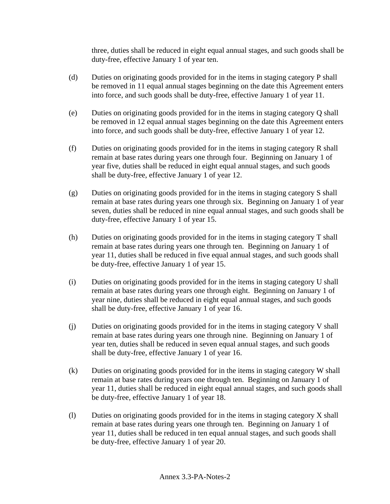three, duties shall be reduced in eight equal annual stages, and such goods shall be duty-free, effective January 1 of year ten.

- (d) Duties on originating goods provided for in the items in staging category P shall be removed in 11 equal annual stages beginning on the date this Agreement enters into force, and such goods shall be duty-free, effective January 1 of year 11.
- (e) Duties on originating goods provided for in the items in staging category Q shall be removed in 12 equal annual stages beginning on the date this Agreement enters into force, and such goods shall be duty-free, effective January 1 of year 12.
- (f) Duties on originating goods provided for in the items in staging category R shall remain at base rates during years one through four. Beginning on January 1 of year five, duties shall be reduced in eight equal annual stages, and such goods shall be duty-free, effective January 1 of year 12.
- (g) Duties on originating goods provided for in the items in staging category S shall remain at base rates during years one through six. Beginning on January 1 of year seven, duties shall be reduced in nine equal annual stages, and such goods shall be duty-free, effective January 1 of year 15.
- (h) Duties on originating goods provided for in the items in staging category T shall remain at base rates during years one through ten. Beginning on January 1 of year 11, duties shall be reduced in five equal annual stages, and such goods shall be duty-free, effective January 1 of year 15.
- (i) Duties on originating goods provided for in the items in staging category U shall remain at base rates during years one through eight. Beginning on January 1 of year nine, duties shall be reduced in eight equal annual stages, and such goods shall be duty-free, effective January 1 of year 16.
- (j) Duties on originating goods provided for in the items in staging category V shall remain at base rates during years one through nine. Beginning on January 1 of year ten, duties shall be reduced in seven equal annual stages, and such goods shall be duty-free, effective January 1 of year 16.
- (k) Duties on originating goods provided for in the items in staging category W shall remain at base rates during years one through ten. Beginning on January 1 of year 11, duties shall be reduced in eight equal annual stages, and such goods shall be duty-free, effective January 1 of year 18.
- (l) Duties on originating goods provided for in the items in staging category X shall remain at base rates during years one through ten. Beginning on January 1 of year 11, duties shall be reduced in ten equal annual stages, and such goods shall be duty-free, effective January 1 of year 20.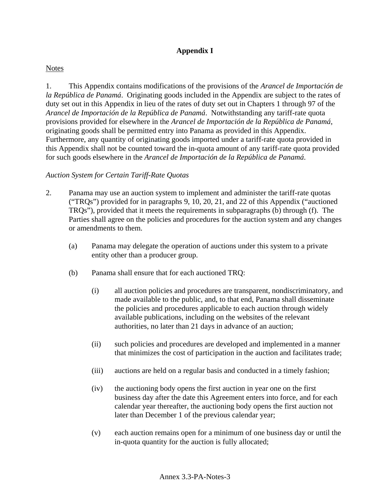# **Appendix I**

# **Notes**

1. This Appendix contains modifications of the provisions of the *Arancel de Importación de la República de Panamá*. Originating goods included in the Appendix are subject to the rates of duty set out in this Appendix in lieu of the rates of duty set out in Chapters 1 through 97 of the *Arancel de Importación de la República de Panamá*. Notwithstanding any tariff-rate quota provisions provided for elsewhere in the *Arancel de Importación de la República de Panamá*, originating goods shall be permitted entry into Panama as provided in this Appendix. Furthermore, any quantity of originating goods imported under a tariff-rate quota provided in this Appendix shall not be counted toward the in-quota amount of any tariff-rate quota provided for such goods elsewhere in the *Arancel de Importación de la República de Panamá*.

# *Auction System for Certain Tariff-Rate Quotas*

- 2. Panama may use an auction system to implement and administer the tariff-rate quotas ("TRQs") provided for in paragraphs 9, 10, 20, 21, and 22 of this Appendix ("auctioned TRQs"), provided that it meets the requirements in subparagraphs (b) through (f). The Parties shall agree on the policies and procedures for the auction system and any changes or amendments to them.
	- (a) Panama may delegate the operation of auctions under this system to a private entity other than a producer group.
	- (b) Panama shall ensure that for each auctioned TRQ:
		- (i) all auction policies and procedures are transparent, nondiscriminatory, and made available to the public, and, to that end, Panama shall disseminate the policies and procedures applicable to each auction through widely available publications, including on the websites of the relevant authorities, no later than 21 days in advance of an auction;
		- (ii) such policies and procedures are developed and implemented in a manner that minimizes the cost of participation in the auction and facilitates trade;
		- (iii) auctions are held on a regular basis and conducted in a timely fashion;
		- (iv) the auctioning body opens the first auction in year one on the first business day after the date this Agreement enters into force, and for each calendar year thereafter, the auctioning body opens the first auction not later than December 1 of the previous calendar year;
		- (v) each auction remains open for a minimum of one business day or until the in-quota quantity for the auction is fully allocated;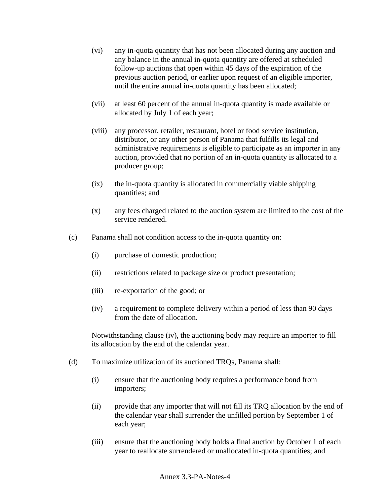- (vi) any in-quota quantity that has not been allocated during any auction and any balance in the annual in-quota quantity are offered at scheduled follow-up auctions that open within 45 days of the expiration of the previous auction period, or earlier upon request of an eligible importer, until the entire annual in-quota quantity has been allocated;
- (vii) at least 60 percent of the annual in-quota quantity is made available or allocated by July 1 of each year;
- (viii) any processor, retailer, restaurant, hotel or food service institution, distributor, or any other person of Panama that fulfills its legal and administrative requirements is eligible to participate as an importer in any auction, provided that no portion of an in-quota quantity is allocated to a producer group;
- (ix) the in-quota quantity is allocated in commercially viable shipping quantities; and
- (x) any fees charged related to the auction system are limited to the cost of the service rendered.
- (c) Panama shall not condition access to the in-quota quantity on:
	- (i) purchase of domestic production;
	- (ii) restrictions related to package size or product presentation;
	- (iii) re-exportation of the good; or
	- (iv) a requirement to complete delivery within a period of less than 90 days from the date of allocation.

Notwithstanding clause (iv), the auctioning body may require an importer to fill its allocation by the end of the calendar year.

- (d) To maximize utilization of its auctioned TRQs, Panama shall:
	- (i) ensure that the auctioning body requires a performance bond from importers;
	- (ii) provide that any importer that will not fill its TRQ allocation by the end of the calendar year shall surrender the unfilled portion by September 1 of each year;
	- (iii) ensure that the auctioning body holds a final auction by October 1 of each year to reallocate surrendered or unallocated in-quota quantities; and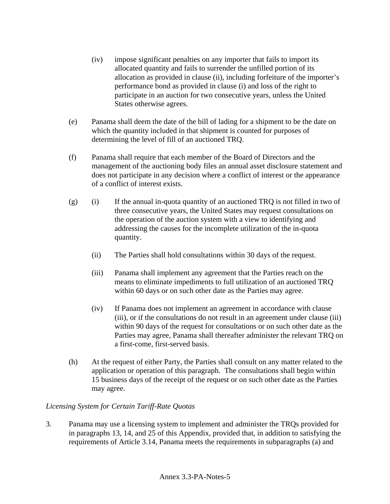- (iv) impose significant penalties on any importer that fails to import its allocated quantity and fails to surrender the unfilled portion of its allocation as provided in clause (ii), including forfeiture of the importer's performance bond as provided in clause (i) and loss of the right to participate in an auction for two consecutive years, unless the United States otherwise agrees.
- (e) Panama shall deem the date of the bill of lading for a shipment to be the date on which the quantity included in that shipment is counted for purposes of determining the level of fill of an auctioned TRQ.
- (f) Panama shall require that each member of the Board of Directors and the management of the auctioning body files an annual asset disclosure statement and does not participate in any decision where a conflict of interest or the appearance of a conflict of interest exists.
- $(g)$  (i) If the annual in-quota quantity of an auctioned TRQ is not filled in two of three consecutive years, the United States may request consultations on the operation of the auction system with a view to identifying and addressing the causes for the incomplete utilization of the in-quota quantity.
	- (ii) The Parties shall hold consultations within 30 days of the request.
	- (iii) Panama shall implement any agreement that the Parties reach on the means to eliminate impediments to full utilization of an auctioned TRQ within 60 days or on such other date as the Parties may agree.
	- (iv) If Panama does not implement an agreement in accordance with clause (iii), or if the consultations do not result in an agreement under clause (iii) within 90 days of the request for consultations or on such other date as the Parties may agree, Panama shall thereafter administer the relevant TRQ on a first-come, first-served basis.
- (h) At the request of either Party, the Parties shall consult on any matter related to the application or operation of this paragraph. The consultations shall begin within 15 business days of the receipt of the request or on such other date as the Parties may agree.

# *Licensing System for Certain Tariff-Rate Quotas*

3. Panama may use a licensing system to implement and administer the TRQs provided for in paragraphs 13, 14, and 25 of this Appendix, provided that, in addition to satisfying the requirements of Article 3.14, Panama meets the requirements in subparagraphs (a) and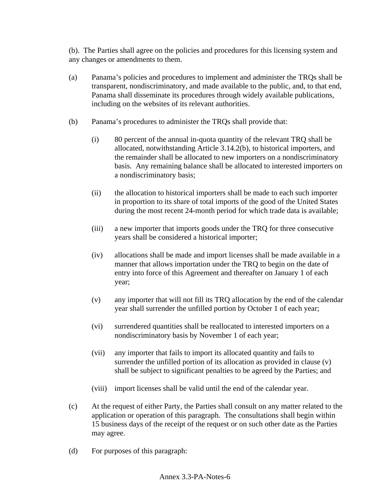(b). The Parties shall agree on the policies and procedures for this licensing system and any changes or amendments to them.

- (a) Panama's policies and procedures to implement and administer the TRQs shall be transparent, nondiscriminatory, and made available to the public, and, to that end, Panama shall disseminate its procedures through widely available publications, including on the websites of its relevant authorities.
- (b) Panama's procedures to administer the TRQs shall provide that:
	- (i) 80 percent of the annual in-quota quantity of the relevant TRQ shall be allocated, notwithstanding Article 3.14.2(b), to historical importers, and the remainder shall be allocated to new importers on a nondiscriminatory basis. Any remaining balance shall be allocated to interested importers on a nondiscriminatory basis;
	- (ii) the allocation to historical importers shall be made to each such importer in proportion to its share of total imports of the good of the United States during the most recent 24-month period for which trade data is available;
	- (iii) a new importer that imports goods under the TRQ for three consecutive years shall be considered a historical importer;
	- (iv) allocations shall be made and import licenses shall be made available in a manner that allows importation under the TRQ to begin on the date of entry into force of this Agreement and thereafter on January 1 of each year;
	- (v) any importer that will not fill its TRQ allocation by the end of the calendar year shall surrender the unfilled portion by October 1 of each year;
	- (vi) surrendered quantities shall be reallocated to interested importers on a nondiscriminatory basis by November 1 of each year;
	- (vii) any importer that fails to import its allocated quantity and fails to surrender the unfilled portion of its allocation as provided in clause (v) shall be subject to significant penalties to be agreed by the Parties; and
	- (viii) import licenses shall be valid until the end of the calendar year.
- (c) At the request of either Party, the Parties shall consult on any matter related to the application or operation of this paragraph. The consultations shall begin within 15 business days of the receipt of the request or on such other date as the Parties may agree.
- (d) For purposes of this paragraph: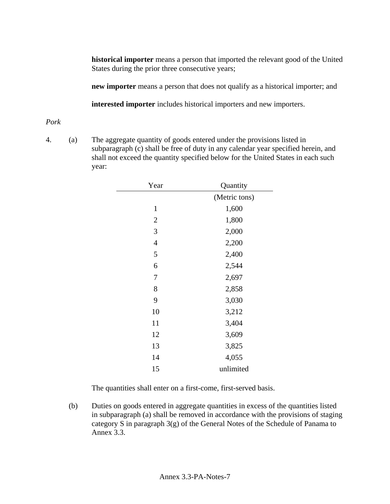**historical importer** means a person that imported the relevant good of the United States during the prior three consecutive years;

**new importer** means a person that does not qualify as a historical importer; and

**interested importer** includes historical importers and new importers.

### *Pork*

4. (a) The aggregate quantity of goods entered under the provisions listed in subparagraph (c) shall be free of duty in any calendar year specified herein, and shall not exceed the quantity specified below for the United States in each such year:

| Year           | Quantity      |
|----------------|---------------|
|                | (Metric tons) |
| $\mathbf{1}$   | 1,600         |
| $\overline{2}$ | 1,800         |
| 3              | 2,000         |
| $\overline{4}$ | 2,200         |
| 5              | 2,400         |
| 6              | 2,544         |
| 7              | 2,697         |
| 8              | 2,858         |
| 9              | 3,030         |
| 10             | 3,212         |
| 11             | 3,404         |
| 12             | 3,609         |
| 13             | 3,825         |
| 14             | 4,055         |
| 15             | unlimited     |

The quantities shall enter on a first-come, first-served basis.

 (b) Duties on goods entered in aggregate quantities in excess of the quantities listed in subparagraph (a) shall be removed in accordance with the provisions of staging category S in paragraph 3(g) of the General Notes of the Schedule of Panama to Annex 3.3.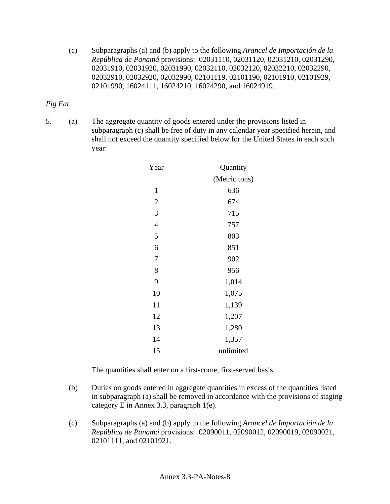(c) Subparagraphs (a) and (b) apply to the following *Arancel de Importación de la República de Panamá* provisions: 02031110, 02031120, 02031210, 02031290, 02031910, 02031920, 02031990, 02032110, 02032120, 02032210, 02032290, 02032910, 02032920, 02032990, 02101119, 02101190, 02101910, 02101929, 02101990, 16024111, 16024210, 16024290, and 16024919.

### *Pig Fat*

5. (a) The aggregate quantity of goods entered under the provisions listed in subparagraph (c) shall be free of duty in any calendar year specified herein, and shall not exceed the quantity specified below for the United States in each such year:

| Year         | Quantity      |
|--------------|---------------|
|              | (Metric tons) |
| $\mathbf{1}$ | 636           |
| $\mathbf{2}$ | 674           |
| 3            | 715           |
| 4            | 757           |
| 5            | 803           |
| 6            | 851           |
| 7            | 902           |
| 8            | 956           |
| 9            | 1,014         |
| 10           | 1,075         |
| 11           | 1,139         |
| 12           | 1,207         |
| 13           | 1,280         |
| 14           | 1,357         |
| 15           | unlimited     |

The quantities shall enter on a first-come, first-served basis.

- (b) Duties on goods entered in aggregate quantities in excess of the quantities listed in subparagraph (a) shall be removed in accordance with the provisions of staging category E in Annex 3.3, paragraph 1(e).
- (c) Subparagraphs (a) and (b) apply to the following *Arancel de Importación de la República de Panamá* provisions: 02090011, 02090012, 02090019, 02090021, 02101111, and 02101921.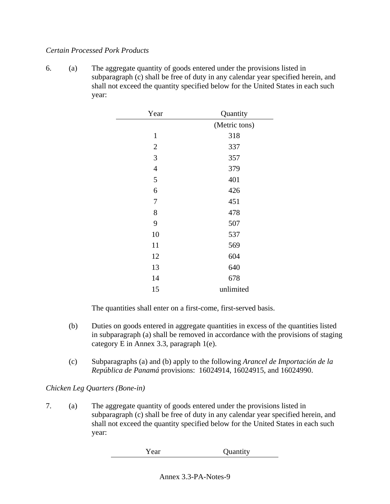### *Certain Processed Pork Products*

6. (a) The aggregate quantity of goods entered under the provisions listed in subparagraph (c) shall be free of duty in any calendar year specified herein, and shall not exceed the quantity specified below for the United States in each such year:

| Year           | Quantity      |
|----------------|---------------|
|                | (Metric tons) |
| $\mathbf{1}$   | 318           |
| $\overline{2}$ | 337           |
| 3              | 357           |
| $\overline{4}$ | 379           |
| 5              | 401           |
| 6              | 426           |
| 7              | 451           |
| 8              | 478           |
| 9              | 507           |
| 10             | 537           |
| 11             | 569           |
| 12             | 604           |
| 13             | 640           |
| 14             | 678           |
| 15             | unlimited     |

The quantities shall enter on a first-come, first-served basis.

- (b) Duties on goods entered in aggregate quantities in excess of the quantities listed in subparagraph (a) shall be removed in accordance with the provisions of staging category E in Annex 3.3, paragraph 1(e).
- (c) Subparagraphs (a) and (b) apply to the following *Arancel de Importación de la República de Panamá* provisions: 16024914, 16024915, and 16024990.

## *Chicken Leg Quarters (Bone-in)*

| Year | Quantity |
|------|----------|
|------|----------|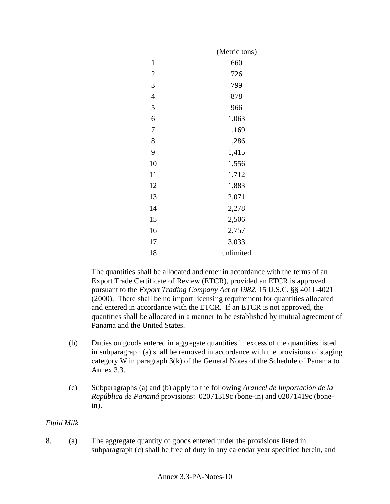|                | (Metric tons) |
|----------------|---------------|
| $\mathbf{1}$   | 660           |
| $\overline{2}$ | 726           |
| 3              | 799           |
| $\overline{4}$ | 878           |
| 5              | 966           |
| 6              | 1,063         |
| 7              | 1,169         |
| 8              | 1,286         |
| 9              | 1,415         |
| 10             | 1,556         |
| 11             | 1,712         |
| 12             | 1,883         |
| 13             | 2,071         |
| 14             | 2,278         |
| 15             | 2,506         |
| 16             | 2,757         |
| 17             | 3,033         |
| 18             | unlimited     |

The quantities shall be allocated and enter in accordance with the terms of an Export Trade Certificate of Review (ETCR), provided an ETCR is approved pursuant to the *Export Trading Company Act of 1982*, 15 U.S.C. §§ 4011-4021 (2000). There shall be no import licensing requirement for quantities allocated and entered in accordance with the ETCR. If an ETCR is not approved, the quantities shall be allocated in a manner to be established by mutual agreement of Panama and the United States.

- (b) Duties on goods entered in aggregate quantities in excess of the quantities listed in subparagraph (a) shall be removed in accordance with the provisions of staging category W in paragraph 3(k) of the General Notes of the Schedule of Panama to Annex 3.3.
- (c) Subparagraphs (a) and (b) apply to the following *Arancel de Importación de la República de Panamá* provisions: 02071319c (bone-in) and 02071419c (bonein).

## *Fluid Milk*

8. (a) The aggregate quantity of goods entered under the provisions listed in subparagraph (c) shall be free of duty in any calendar year specified herein, and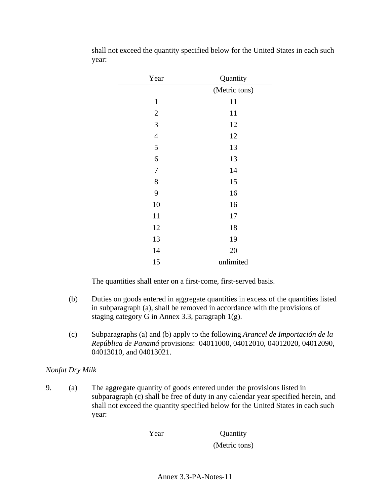| Year             | Quantity      |
|------------------|---------------|
|                  | (Metric tons) |
| $\mathbf{1}$     | 11            |
| $\overline{2}$   | 11            |
| 3                | 12            |
| $\overline{4}$   | 12            |
| $\mathfrak{S}$   | 13            |
| 6                | 13            |
| $\boldsymbol{7}$ | 14            |
| 8                | 15            |
| 9                | 16            |
| 10               | 16            |
| 11               | 17            |
| 12               | 18            |
| 13               | 19            |
| 14               | 20            |
| 15               | unlimited     |

shall not exceed the quantity specified below for the United States in each such year:

The quantities shall enter on a first-come, first-served basis.

- (b) Duties on goods entered in aggregate quantities in excess of the quantities listed in subparagraph (a), shall be removed in accordance with the provisions of staging category G in Annex 3.3, paragraph 1(g).
- (c) Subparagraphs (a) and (b) apply to the following *Arancel de Importación de la República de Panamá* provisions: 04011000, 04012010, 04012020, 04012090, 04013010, and 04013021.

## *Nonfat Dry Milk*

9. (a) The aggregate quantity of goods entered under the provisions listed in subparagraph (c) shall be free of duty in any calendar year specified herein, and shall not exceed the quantity specified below for the United States in each such year:

Year Quantity

(Metric tons)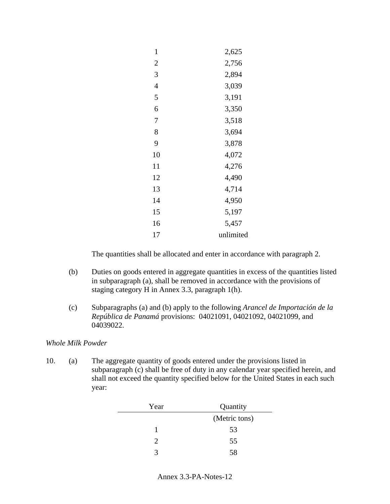| $\mathbf{1}$   | 2,625     |
|----------------|-----------|
| 2              | 2,756     |
| 3              | 2,894     |
| $\overline{4}$ | 3,039     |
| 5              | 3,191     |
| 6              | 3,350     |
| 7              | 3,518     |
| 8              | 3,694     |
| 9              | 3,878     |
| 10             | 4,072     |
| 11             | 4,276     |
| 12             | 4,490     |
| 13             | 4,714     |
| 14             | 4,950     |
| 15             | 5,197     |
| 16             | 5,457     |
| 17             | unlimited |

- (b) Duties on goods entered in aggregate quantities in excess of the quantities listed in subparagraph (a), shall be removed in accordance with the provisions of staging category H in Annex 3.3, paragraph 1(h).
- (c) Subparagraphs (a) and (b) apply to the following *Arancel de Importación de la República de Panamá* provisions: 04021091, 04021092, 04021099, and 04039022.

## *Whole Milk Powder*

| Year | Quantity      |
|------|---------------|
|      | (Metric tons) |
|      | 53            |
| っ    | 55            |
| 2    | 58            |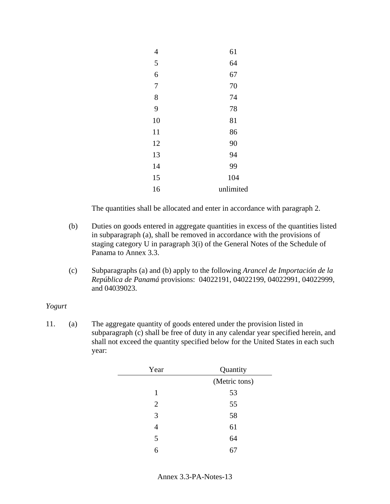| 4              | 61        |
|----------------|-----------|
| 5              | 64        |
| 6              | 67        |
| $\overline{7}$ | 70        |
| 8              | 74        |
| 9              | 78        |
| 10             | 81        |
| 11             | 86        |
| 12             | 90        |
| 13             | 94        |
| 14             | 99        |
| 15             | 104       |
| 16             | unlimited |
|                |           |

- (b) Duties on goods entered in aggregate quantities in excess of the quantities listed in subparagraph (a), shall be removed in accordance with the provisions of staging category U in paragraph 3(i) of the General Notes of the Schedule of Panama to Annex 3.3.
- (c) Subparagraphs (a) and (b) apply to the following *Arancel de Importación de la República de Panamá* provisions: 04022191, 04022199, 04022991, 04022999, and 04039023.

#### *Yogurt*

| Year | Quantity      |
|------|---------------|
|      | (Metric tons) |
| 1    | 53            |
| 2    | 55            |
| 3    | 58            |
| 4    | 61            |
| 5    | 64            |
| 6    |               |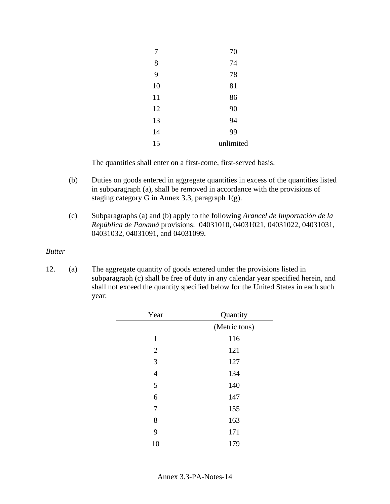| 7  | 70        |
|----|-----------|
| 8  | 74        |
| 9  | 78        |
| 10 | 81        |
| 11 | 86        |
| 12 | 90        |
| 13 | 94        |
| 14 | 99        |
| 15 | unlimited |

The quantities shall enter on a first-come, first-served basis.

- (b) Duties on goods entered in aggregate quantities in excess of the quantities listed in subparagraph (a), shall be removed in accordance with the provisions of staging category G in Annex 3.3, paragraph 1(g).
- (c) Subparagraphs (a) and (b) apply to the following *Arancel de Importación de la República de Panamá* provisions: 04031010, 04031021, 04031022, 04031031, 04031032, 04031091, and 04031099.

#### *Butter*

| Year           | Quantity      |
|----------------|---------------|
|                | (Metric tons) |
| $\mathbf{1}$   | 116           |
| $\overline{2}$ | 121           |
| 3              | 127           |
| $\overline{4}$ | 134           |
| 5              | 140           |
| 6              | 147           |
| 7              | 155           |
| 8              | 163           |
| 9              | 171           |
| 10             | 179           |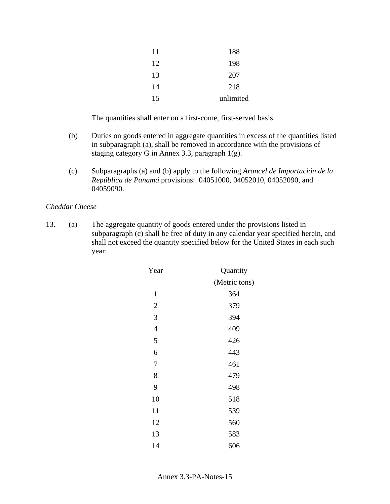| 11 | 188       |
|----|-----------|
| 12 | 198       |
| 13 | 207       |
| 14 | 218       |
| 15 | unlimited |

The quantities shall enter on a first-come, first-served basis.

- (b) Duties on goods entered in aggregate quantities in excess of the quantities listed in subparagraph (a), shall be removed in accordance with the provisions of staging category G in Annex 3.3, paragraph 1(g).
- (c) Subparagraphs (a) and (b) apply to the following *Arancel de Importación de la República de Panamá* provisions: 04051000, 04052010, 04052090, and 04059090.

### *Cheddar Cheese*

| Year           | Quantity      |
|----------------|---------------|
|                | (Metric tons) |
| $\mathbf{1}$   | 364           |
| $\mathbf{2}$   | 379           |
| 3              | 394           |
| $\overline{4}$ | 409           |
| 5              | 426           |
| 6              | 443           |
| $\sqrt{ }$     | 461           |
| 8              | 479           |
| 9              | 498           |
| 10             | 518           |
| 11             | 539           |
| 12             | 560           |
| 13             | 583           |
| 14             | 606           |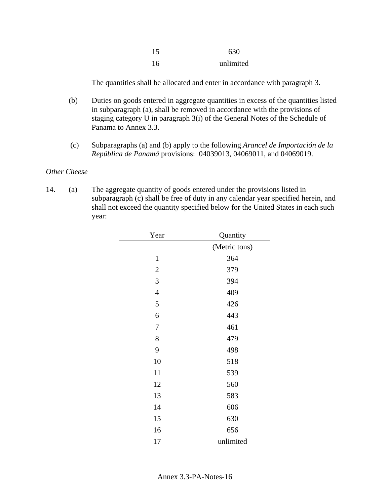| 15  | 630       |
|-----|-----------|
| -16 | unlimited |

- (b) Duties on goods entered in aggregate quantities in excess of the quantities listed in subparagraph (a), shall be removed in accordance with the provisions of staging category U in paragraph 3(i) of the General Notes of the Schedule of Panama to Annex 3.3.
- (c) Subparagraphs (a) and (b) apply to the following *Arancel de Importación de la República de Panamá* provisions: 04039013, 04069011, and 04069019.

#### *Other Cheese*

| Year           | Quantity      |
|----------------|---------------|
|                | (Metric tons) |
| $\mathbf{1}$   | 364           |
| $\overline{2}$ | 379           |
| 3              | 394           |
| $\overline{4}$ | 409           |
| 5              | 426           |
| 6              | 443           |
| 7              | 461           |
| 8              | 479           |
| 9              | 498           |
| 10             | 518           |
| 11             | 539           |
| 12             | 560           |
| 13             | 583           |
| 14             | 606           |
| 15             | 630           |
| 16             | 656           |
| 17             | unlimited     |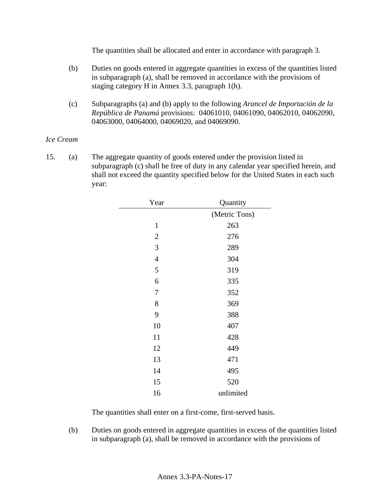- (b) Duties on goods entered in aggregate quantities in excess of the quantities listed in subparagraph (a), shall be removed in accordance with the provisions of staging category H in Annex 3.3, paragraph 1(h).
- (c) Subparagraphs (a) and (b) apply to the following *Arancel de Importación de la República de Panamá* provisions: 04061010, 04061090, 04062010, 04062090, 04063000, 04064000, 04069020, and 04069090.

### *Ice Cream*

15. (a) The aggregate quantity of goods entered under the provision listed in subparagraph (c) shall be free of duty in any calendar year specified herein, and shall not exceed the quantity specified below for the United States in each such year:

| Year           | Quantity      |
|----------------|---------------|
|                | (Metric Tons) |
| $\mathbf{1}$   | 263           |
| $\mathbf{2}$   | 276           |
| 3              | 289           |
| $\overline{4}$ | 304           |
| 5              | 319           |
| 6              | 335           |
| 7              | 352           |
| 8              | 369           |
| 9              | 388           |
| 10             | 407           |
| 11             | 428           |
| 12             | 449           |
| 13             | 471           |
| 14             | 495           |
| 15             | 520           |
| 16             | unlimited     |

The quantities shall enter on a first-come, first-served basis.

(b) Duties on goods entered in aggregate quantities in excess of the quantities listed in subparagraph (a), shall be removed in accordance with the provisions of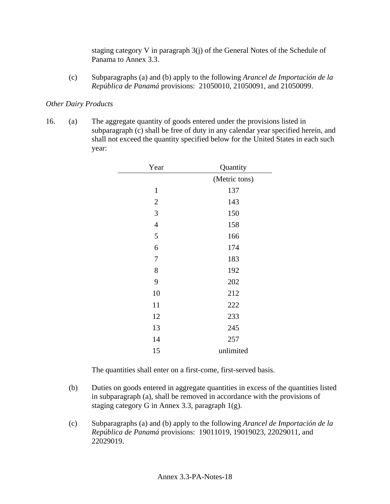staging category V in paragraph 3(j) of the General Notes of the Schedule of Panama to Annex 3.3.

(c) Subparagraphs (a) and (b) apply to the following *Arancel de Importación de la República de Panamá* provisions: 21050010, 21050091, and 21050099.

### *Other Dairy Products*

16. (a) The aggregate quantity of goods entered under the provisions listed in subparagraph (c) shall be free of duty in any calendar year specified herein, and shall not exceed the quantity specified below for the United States in each such year:

| Year           | Quantity      |
|----------------|---------------|
|                | (Metric tons) |
| $\mathbf{1}$   | 137           |
| $\mathbf{2}$   | 143           |
| 3              | 150           |
| $\overline{4}$ | 158           |
| 5              | 166           |
| 6              | 174           |
| 7              | 183           |
| 8              | 192           |
| 9              | 202           |
| 10             | 212           |
| 11             | 222           |
| 12             | 233           |
| 13             | 245           |
| 14             | 257           |
| 15             | unlimited     |

The quantities shall enter on a first-come, first-served basis.

- (b) Duties on goods entered in aggregate quantities in excess of the quantities listed in subparagraph (a), shall be removed in accordance with the provisions of staging category G in Annex 3.3, paragraph 1(g).
- (c) Subparagraphs (a) and (b) apply to the following *Arancel de Importación de la República de Panamá* provisions: 19011019, 19019023, 22029011, and 22029019.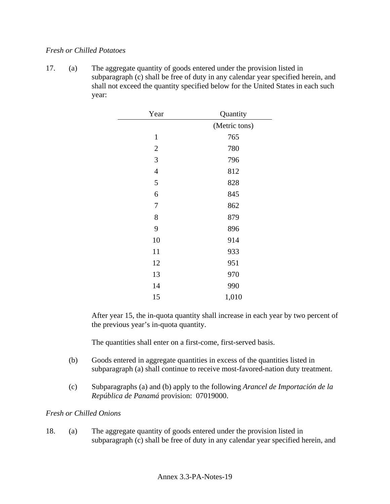### *Fresh or Chilled Potatoes*

17. (a) The aggregate quantity of goods entered under the provision listed in subparagraph (c) shall be free of duty in any calendar year specified herein, and shall not exceed the quantity specified below for the United States in each such year:

| Year           | Quantity      |
|----------------|---------------|
|                | (Metric tons) |
| $\mathbf{1}$   | 765           |
| $\overline{2}$ | 780           |
| 3              | 796           |
| $\overline{4}$ | 812           |
| 5              | 828           |
| 6              | 845           |
| $\overline{7}$ | 862           |
| 8              | 879           |
| 9              | 896           |
| 10             | 914           |
| 11             | 933           |
| 12             | 951           |
| 13             | 970           |
| 14             | 990           |
| 15             | 1,010         |

After year 15, the in-quota quantity shall increase in each year by two percent of the previous year's in-quota quantity.

The quantities shall enter on a first-come, first-served basis.

- (b) Goods entered in aggregate quantities in excess of the quantities listed in subparagraph (a) shall continue to receive most-favored-nation duty treatment.
- (c) Subparagraphs (a) and (b) apply to the following *Arancel de Importación de la República de Panamá* provision: 07019000.

## *Fresh or Chilled Onions*

18. (a) The aggregate quantity of goods entered under the provision listed in subparagraph (c) shall be free of duty in any calendar year specified herein, and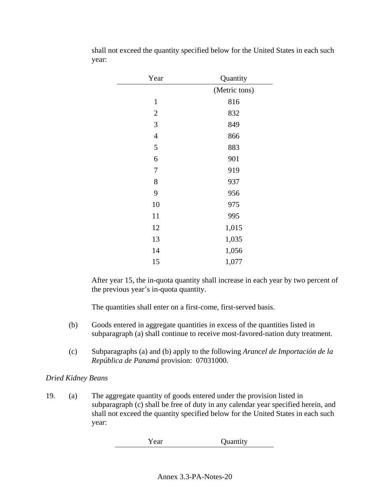| Year           | Quantity      |
|----------------|---------------|
|                | (Metric tons) |
| $\mathbf{1}$   | 816           |
| $\overline{2}$ | 832           |
| 3              | 849           |
| $\overline{4}$ | 866           |
| 5              | 883           |
| 6              | 901           |
| 7              | 919           |
| 8              | 937           |
| 9              | 956           |
| 10             | 975           |
| 11             | 995           |
| 12             | 1,015         |
| 13             | 1,035         |
| 14             | 1,056         |
| 15             | 1,077         |

shall not exceed the quantity specified below for the United States in each such year:

After year 15, the in-quota quantity shall increase in each year by two percent of the previous year's in-quota quantity.

The quantities shall enter on a first-come, first-served basis.

- (b) Goods entered in aggregate quantities in excess of the quantities listed in subparagraph (a) shall continue to receive most-favored-nation duty treatment.
- (c) Subparagraphs (a) and (b) apply to the following *Arancel de Importación de la República de Panamá* provision: 07031000.

## *Dried Kidney Beans*

19. (a) The aggregate quantity of goods entered under the provision listed in subparagraph (c) shall be free of duty in any calendar year specified herein, and shall not exceed the quantity specified below for the United States in each such year:

Year **Quantity**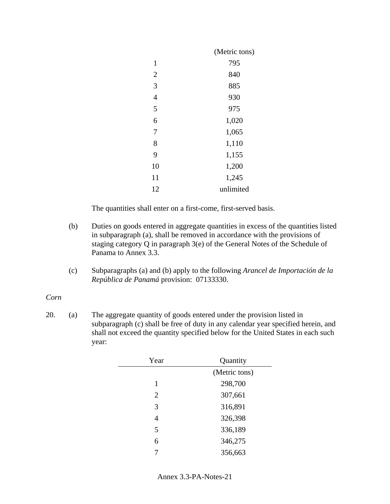|                | (Metric tons) |
|----------------|---------------|
| 1              | 795           |
| $\overline{2}$ | 840           |
| 3              | 885           |
| $\overline{4}$ | 930           |
| 5              | 975           |
| 6              | 1,020         |
| 7              | 1,065         |
| 8              | 1,110         |
| 9              | 1,155         |
| 10             | 1,200         |
| 11             | 1,245         |
| 12             | unlimited     |

The quantities shall enter on a first-come, first-served basis.

- (b) Duties on goods entered in aggregate quantities in excess of the quantities listed in subparagraph (a), shall be removed in accordance with the provisions of staging category Q in paragraph 3(e) of the General Notes of the Schedule of Panama to Annex 3.3.
- (c) Subparagraphs (a) and (b) apply to the following *Arancel de Importación de la República de Panamá* provision: 07133330.

#### *Corn*

| Year           | Quantity      |
|----------------|---------------|
|                | (Metric tons) |
| 1              | 298,700       |
| $\overline{2}$ | 307,661       |
| 3              | 316,891       |
| $\overline{4}$ | 326,398       |
| 5              | 336,189       |
| 6              | 346,275       |
| 7              | 356,663       |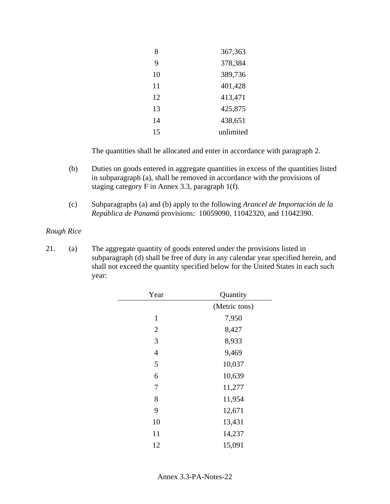| 8  | 367,363   |
|----|-----------|
| 9  | 378,384   |
| 10 | 389,736   |
| 11 | 401,428   |
| 12 | 413,471   |
| 13 | 425,875   |
| 14 | 438,651   |
| 15 | unlimited |

- (b) Duties on goods entered in aggregate quantities in excess of the quantities listed in subparagraph (a), shall be removed in accordance with the provisions of staging category F in Annex 3.3, paragraph 1(f).
- (c) Subparagraphs (a) and (b) apply to the following *Arancel de Importación de la República de Panamá* provisions: 10059090, 11042320, and 11042390.

#### *Rough Rice*

| Year           | Quantity      |
|----------------|---------------|
|                | (Metric tons) |
| $\mathbf{1}$   | 7,950         |
| $\overline{2}$ | 8,427         |
| 3              | 8,933         |
| $\overline{4}$ | 9,469         |
| 5              | 10,037        |
| 6              | 10,639        |
| 7              | 11,277        |
| 8              | 11,954        |
| 9              | 12,671        |
| 10             | 13,431        |
| 11             | 14,237        |
| 12             | 15,091        |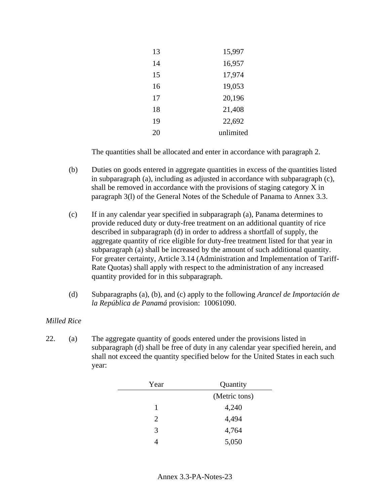| 13 | 15,997    |
|----|-----------|
| 14 | 16,957    |
| 15 | 17,974    |
| 16 | 19,053    |
| 17 | 20,196    |
| 18 | 21,408    |
| 19 | 22,692    |
| 20 | unlimited |

- (b) Duties on goods entered in aggregate quantities in excess of the quantities listed in subparagraph (a), including as adjusted in accordance with subparagraph (c), shall be removed in accordance with the provisions of staging category X in paragraph 3(l) of the General Notes of the Schedule of Panama to Annex 3.3.
- (c) If in any calendar year specified in subparagraph (a), Panama determines to provide reduced duty or duty-free treatment on an additional quantity of rice described in subparagraph (d) in order to address a shortfall of supply, the aggregate quantity of rice eligible for duty-free treatment listed for that year in subparagraph (a) shall be increased by the amount of such additional quantity. For greater certainty, Article 3.14 (Administration and Implementation of Tariff-Rate Quotas) shall apply with respect to the administration of any increased quantity provided for in this subparagraph.
- (d) Subparagraphs (a), (b), and (c) apply to the following *Arancel de Importación de la República de Panamá* provision: 10061090.

## *Milled Rice*

| Year | Quantity      |
|------|---------------|
|      | (Metric tons) |
| 1    | 4,240         |
| 2    | 4,494         |
| 3    | 4,764         |
|      | 5,050         |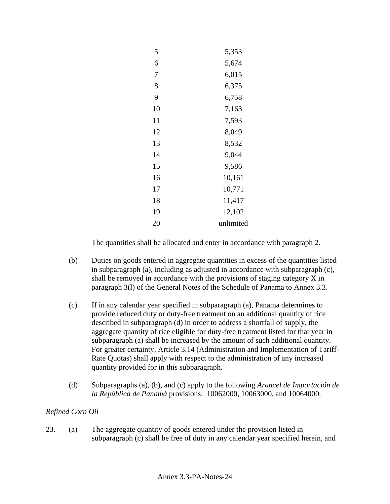| 5  | 5,353     |
|----|-----------|
| 6  | 5,674     |
| 7  | 6,015     |
| 8  | 6,375     |
| 9  | 6,758     |
| 10 | 7,163     |
| 11 | 7,593     |
| 12 | 8,049     |
| 13 | 8,532     |
| 14 | 9,044     |
| 15 | 9,586     |
| 16 | 10,161    |
| 17 | 10,771    |
| 18 | 11,417    |
| 19 | 12,102    |
| 20 | unlimited |

- (b) Duties on goods entered in aggregate quantities in excess of the quantities listed in subparagraph (a), including as adjusted in accordance with subparagraph (c), shall be removed in accordance with the provisions of staging category X in paragraph 3(l) of the General Notes of the Schedule of Panama to Annex 3.3.
- (c) If in any calendar year specified in subparagraph (a), Panama determines to provide reduced duty or duty-free treatment on an additional quantity of rice described in subparagraph (d) in order to address a shortfall of supply, the aggregate quantity of rice eligible for duty-free treatment listed for that year in subparagraph (a) shall be increased by the amount of such additional quantity. For greater certainty, Article 3.14 (Administration and Implementation of Tariff-Rate Quotas) shall apply with respect to the administration of any increased quantity provided for in this subparagraph.
- (d) Subparagraphs (a), (b), and (c) apply to the following *Arancel de Importación de la República de Panamá* provisions: 10062000, 10063000, and 10064000.

# *Refined Corn Oil*

23. (a) The aggregate quantity of goods entered under the provision listed in subparagraph (c) shall be free of duty in any calendar year specified herein, and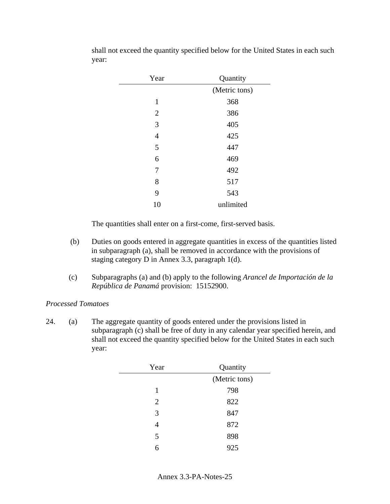| Year           | Quantity      |
|----------------|---------------|
|                | (Metric tons) |
| $\mathbf{1}$   | 368           |
| $\overline{2}$ | 386           |
| 3              | 405           |
| $\overline{4}$ | 425           |
| 5              | 447           |
| 6              | 469           |
| 7              | 492           |
| 8              | 517           |
| 9              | 543           |
| 10             | unlimited     |

shall not exceed the quantity specified below for the United States in each such year:

The quantities shall enter on a first-come, first-served basis.

- (b) Duties on goods entered in aggregate quantities in excess of the quantities listed in subparagraph (a), shall be removed in accordance with the provisions of staging category D in Annex 3.3, paragraph 1(d).
- (c) Subparagraphs (a) and (b) apply to the following *Arancel de Importación de la República de Panamá* provision: 15152900.

## *Processed Tomatoes*

| Year | Quantity      |
|------|---------------|
|      | (Metric tons) |
| 1    | 798           |
| 2    | 822           |
| 3    | 847           |
|      | 872           |
| 5    | 898           |
|      | 925           |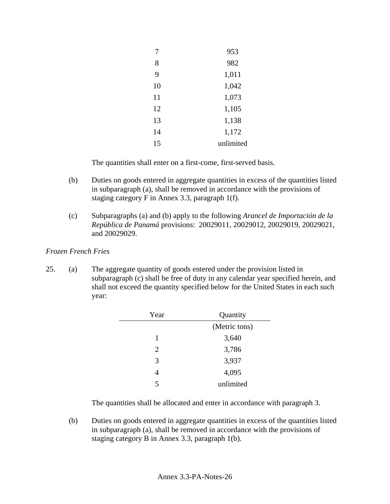| 7  | 953       |
|----|-----------|
| 8  | 982       |
| 9  | 1,011     |
| 10 | 1,042     |
| 11 | 1,073     |
| 12 | 1,105     |
| 13 | 1,138     |
| 14 | 1,172     |
| 15 | unlimited |

The quantities shall enter on a first-come, first-served basis.

- (b) Duties on goods entered in aggregate quantities in excess of the quantities listed in subparagraph (a), shall be removed in accordance with the provisions of staging category F in Annex 3.3, paragraph 1(f).
- (c) Subparagraphs (a) and (b) apply to the following *Arancel de Importación de la República de Panamá* provisions: 20029011, 20029012, 20029019, 20029021, and 20029029.

## *Frozen French Fries*

25. (a) The aggregate quantity of goods entered under the provision listed in subparagraph (c) shall be free of duty in any calendar year specified herein, and shall not exceed the quantity specified below for the United States in each such year:

| Year           | Quantity      |
|----------------|---------------|
|                | (Metric tons) |
| 1              | 3,640         |
| $\overline{2}$ | 3,786         |
| 3              | 3,937         |
|                | 4,095         |
| 5              | unlimited     |
|                |               |

The quantities shall be allocated and enter in accordance with paragraph 3.

(b) Duties on goods entered in aggregate quantities in excess of the quantities listed in subparagraph (a), shall be removed in accordance with the provisions of staging category B in Annex 3.3, paragraph 1(b).